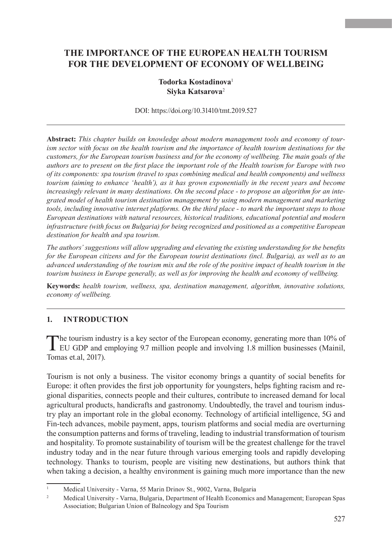# **THE IMPORTANCE OF THE EUROPEAN HEALTH TOURISM FOR THE DEVELOPMENT OF ECONOMY OF WELLBEING**

# **Todorka Kostadinova**<sup>1</sup> **Siyka Katsarova**<sup>2</sup>

DOI:<https://doi.org/10.31410/tmt.2019.527>

**Abstract:** *This chapter builds on knowledge about modern management tools and economy of tourism sector with focus on the health tourism and the importance of health tourism destinations for the customers, for the European tourism business and for the economy of wellbeing. The main goals of the authors are to present on the first place the important role of the Health tourism for Europe with two of its components: spa tourism (travel to spas combining medical and health components) and wellness tourism (aiming to enhance 'health'), as it has grown exponentially in the recent years and become increasingly relevant in many destinations. On the second place - to propose an algorithm for an integrated model of health tourism destination management by using modern management and marketing tools, including innovative internet platforms. On the third place - to mark the important steps to those European destinations with natural resources, historical traditions, educational potential and modern infrastructure (with focus on Bulgaria) for being recognized and positioned as a competitive European destination for health and spa tourism.*

*The authors' suggestions will allow upgrading and elevating the existing understanding for the benefits for the European citizens and for the European tourist destinations (incl. Bulgaria), as well as to an advanced understanding of the tourism mix and the role of the positive impact of health tourism in the tourism business in Europe generally, as well as for improving the health and economy of wellbeing.*

**Keywords:** *health tourism, wellness, spa, destination management, algorithm, innovative solutions, economy of wellbeing.*

# **1. INTRODUCTION**

The tourism industry is a key sector of the European economy, generating more than 10% of EU GDP and employing 9.7 million people and involving 1.8 million businesses (Mainil, Tomas et.al, 2017).

Tourism is not only a business. The visitor economy brings a quantity of social benefits for Europe: it often provides the first job opportunity for youngsters, helps fighting racism and regional disparities, connects people and their cultures, contribute to increased demand for local agricultural products, handicrafts and gastronomy. Undoubtedly, the travel and tourism industry play an important role in the global economy. Technology of artificial intelligence, 5G and Fin-tech advances, mobile payment, apps, tourism platforms and social media are overturning the consumption patterns and forms of traveling, leading to industrial transformation of tourism and hospitality. To promote sustainability of tourism will be the greatest challenge for the travel industry today and in the near future through various emerging tools and rapidly developing technology. Thanks to tourism, people are visiting new destinations, but authors think that when taking a decision, a healthy environment is gaining much more importance than the new

<sup>&</sup>lt;sup>1</sup> Medical University - Varna, 55 Marin Drinov St., 9002, Varna, Bulgaria

<sup>&</sup>lt;sup>2</sup> Medical University - Varna, Bulgaria, Department of Health Economics and Management; European Spas Association; Bulgarian Union of Balneology and Spa Tourism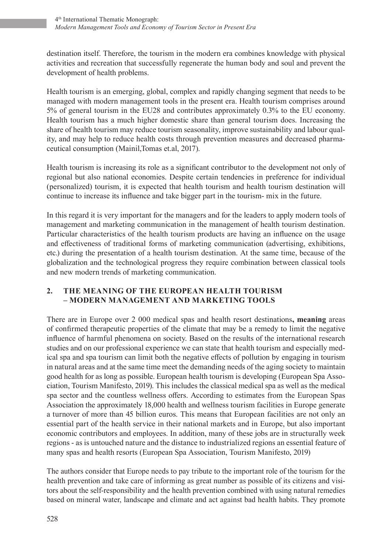destination itself. Therefore, the tourism in the modern era combines knowledge with physical activities and recreation that successfully regenerate the human body and soul and prevent the development of health problems.

Health tourism is an emerging, global, complex and rapidly changing segment that needs to be managed with modern management tools in the present era. Health tourism comprises around 5% of general tourism in the EU28 and contributes approximately 0.3% to the EU economy. Health tourism has a much higher domestic share than general tourism does. Increasing the share of health tourism may reduce tourism seasonality, improve sustainability and labour quality, and may help to reduce health costs through prevention measures and decreased pharmaceutical consumption (Mainil,Tomas et.al, 2017).

Health tourism is increasing its role as a significant contributor to the development not only of regional but also national economies. Despite certain tendencies in preference for individual (personalized) tourism, it is expected that health tourism and health tourism destination will continue to increase its influence and take bigger part in the tourism- mix in the future.

In this regard it is very important for the managers and for the leaders to apply modern tools of management and marketing communication in the management of health tourism destination. Particular characteristics of the health tourism products are having an influence on the usage and effectiveness of traditional forms of marketing communication (advertising, exhibitions, etc.) during the presentation of a health tourism destination. At the same time, because of the globalization and the technological progress they require combination between classical tools and new modern trends of marketing communication.

# **2. THE MEANING OF THE EUROPEAN HEALTH TOURISM – MODERN MANAGEMENT AND MARKETING TOOLS**

There are in Europe over 2 000 medical spas and health resort destinations**, meaning** areas of confirmed therapeutic properties of the climate that may be a remedy to limit the negative influence of harmful phenomena on society. Based on the results of the international research studies and on our professional experience we can state that health tourism and especially medical spa and spa tourism can limit both the negative effects of pollution by engaging in tourism in natural areas and at the same time meet the demanding needs of the aging society to maintain good health for as long as possible. European health tourism is developing (European Spa Association, Tourism Manifesto, 2019). This includes the classical medical spa as well as the medical spa sector and the countless wellness offers. According to estimates from the European Spas Association the approximately 18,000 health and wellness tourism facilities in Europe generate a turnover of more than 45 billion euros. This means that European facilities are not only an essential part of the health service in their national markets and in Europe, but also important economic contributors and employees. In addition, many of these jobs are in structurally week regions - as is untouched nature and the distance to industrialized regions an essential feature of many spas and health resorts (European Spa Association, Tourism Manifesto, 2019)

The authors consider that Europe needs to pay tribute to the important role of the tourism for the health prevention and take care of informing as great number as possible of its citizens and visitors about the self-responsibility and the health prevention combined with using natural remedies based on mineral water, landscape and climate and act against bad health habits. They promote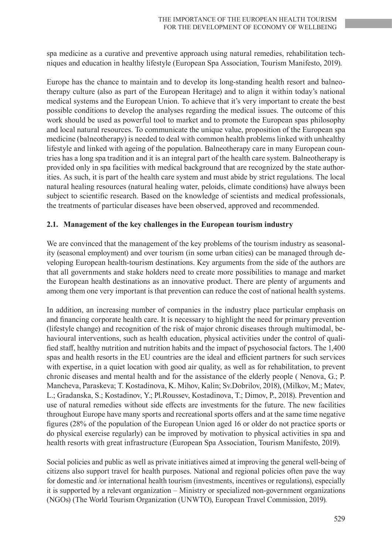spa medicine as a curative and preventive approach using natural remedies, rehabilitation techniques and education in healthy lifestyle (European Spa Association, Tourism Manifesto, 2019).

Europe has the chance to maintain and to develop its long-standing health resort and balneotherapy culture (also as part of the European Heritage) and to align it within today's national medical systems and the European Union. To achieve that it's very important to create the best possible conditions to develop the analyses regarding the medical issues. The outcome of this work should be used as powerful tool to market and to promote the European spas philosophy and local natural resources. To communicate the unique value, proposition of the European spa medicine (balneotherapy) is needed to deal with common health problems linked with unhealthy lifestyle and linked with ageing of the population. Balneotherapy care in many European countries has a long spa tradition and it is an integral part of the health care system. Balneotherapy is provided only in spa facilities with medical background that are recognized by the state authorities. As such, it is part of the health care system and must abide by strict regulations. The local natural healing resources (natural healing water, peloids, climate conditions) have always been subject to scientific research. Based on the knowledge of scientists and medical professionals, the treatments of particular diseases have been observed, approved and recommended.

#### **2.1. Management of the key challenges in the European tourism industry**

We are convinced that the management of the key problems of the tourism industry as seasonality (seasonal employment) and over tourism (in some urban cities) can be managed through developing European health-tourism destinations. Key arguments from the side of the authors are that all governments and stake holders need to create more possibilities to manage and market the European health destinations as an innovative product. There are plenty of arguments and among them one very important is that prevention can reduce the cost of national health systems.

In addition, an increasing number of companies in the industry place particular emphasis on and financing corporate health care. It is necessary to highlight the need for primary prevention (lifestyle change) and recognition of the risk of major chronic diseases through multimodal, behavioural interventions, such as health education, physical activities under the control of qualified staff, healthy nutrition and nutrition habits and the impact of psychosocial factors. The 1,400 spas and health resorts in the EU countries are the ideal and efficient partners for such services with expertise, in a quiet location with good air quality, as well as for rehabilitation, to prevent chronic diseases and mental health and for the assistance of the elderly people ( Nenova, G.; P. Mancheva, Paraskeva; T. Kostadinova, K. Mihov, Kalin; Sv.Dobrilov, 2018), (Milkov, M.; Matev, L.; Gradanska, S.; Kostadinov, Y.; Pl.Roussev, Kostadinova, T.; Dimov, P., 2018). Prevention and use of natural remedies without side effects are investments for the future. The new facilities throughout Europe have many sports and recreational sports offers and at the same time negative figures (28% of the population of the European Union aged 16 or older do not practice sports or do physical exercise regularly) can be improved by motivation to physical activities in spa and health resorts with great infrastructure (European Spa Association, Tourism Manifesto, 2019).

Social policies and public as well as private initiatives aimed at improving the general well-being of citizens also support travel for health purposes. National and regional policies often pave the way for domestic and /or international health tourism (investments, incentives or regulations), especially it is supported by a relevant organization – Ministry or specialized non-government organizations (NGOs) (The World Tourism Organization (UNWTO), European Travel Commission, 2019)*.*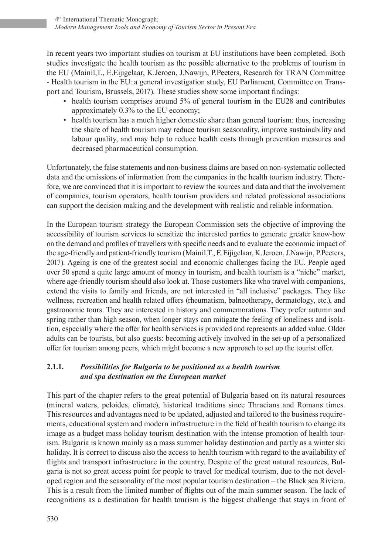In recent years two important studies on tourism at EU institutions have been completed. Both studies investigate the health tourism as the possible alternative to the problems of tourism in the EU (Mainil,T., E.Eijigelaar, K.Jeroen, J.Nawijn, P.Peeters, Research for TRAN Committee - Health tourism in the EU: a general investigation study, EU Parliament, Committee on Transport and Tourism, Brussels, 2017). These studies show some important findings:

- health tourism comprises around 5% of general tourism in the EU28 and contributes approximately 0.3% to the EU economy;
- health tourism has a much higher domestic share than general tourism: thus, increasing the share of health tourism may reduce tourism seasonality, improve sustainability and labour quality, and may help to reduce health costs through prevention measures and decreased pharmaceutical consumption.

Unfortunately, the false statements and non-business claims are based on non-systematic collected data and the omissions of information from the companies in the health tourism industry. Therefore, we are convinced that it is important to review the sources and data and that the involvement of companies, tourism operators, health tourism providers and related professional associations can support the decision making and the development with realistic and reliable information.

In the European tourism strategy the European Commission sets the objective of improving the accessibility of tourism services to sensitize the interested parties to generate greater know-how on the demand and profiles of travellers with specific needs and to evaluate the economic impact of the age-friendly and patient-friendly tourism (Mainil,T., E.Eijigelaar, K.Jeroen, J.Nawijn, P.Peeters, 2017). Ageing is one of the greatest social and economic challenges facing the EU. People aged over 50 spend a quite large amount of money in tourism, and health tourism is a "niche" market, where age-friendly tourism should also look at. Those customers like who travel with companions, extend the visits to family and friends, are not interested in "all inclusive" packages. They like wellness, recreation and health related offers (rheumatism, balneotherapy, dermatology, etc.), and gastronomic tours. They are interested in history and commemorations. They prefer autumn and spring rather than high season, when longer stays can mitigate the feeling of loneliness and isolation, especially where the offer for health services is provided and represents an added value. Older adults can be tourists, but also guests: becoming actively involved in the set-up of a personalized offer for tourism among peers, which might become a new approach to set up the tourist offer.

# **2.1.1.** *Possibilities for Bulgaria to be positioned as a health tourism and spa destination on the European market*

This part of the chapter refers to the great potential of Bulgaria based on its natural resources (mineral waters, peloides, climate), historical traditions since Thracians and Romans times. This resources and advantages need to be updated, adjusted and tailored to the business requirements, educational system and modern infrastructure in the field of health tourism to change its image as a budget mass holiday tourism destination with the intense promotion of health tourism. Bulgaria is known mainly as a mass summer holiday destination and partly as a winter ski holiday. It is correct to discuss also the access to health tourism with regard to the availability of flights and transport infrastructure in the country. Despite of the great natural resources, Bulgaria is not so great access point for people to travel for medical tourism, due to the not developed region and the seasonality of the most popular tourism destination – the Black sea Riviera. This is a result from the limited number of flights out of the main summer season. The lack of recognitions as a destination for health tourism is the biggest challenge that stays in front of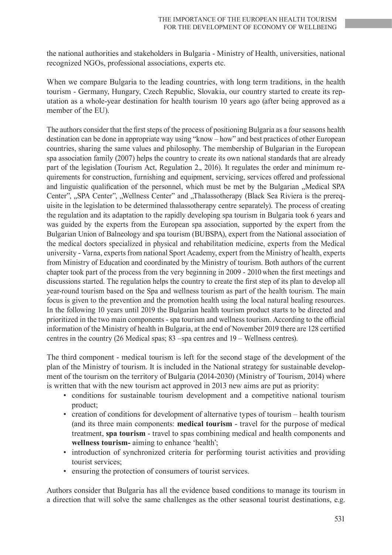the national authorities and stakeholders in Bulgaria - Ministry of Health, universities, national recognized NGOs, professional associations, experts etc.

When we compare Bulgaria to the leading countries, with long term traditions, in the health tourism - Germany, Hungary, Czech Republic, Slovakia, our country started to create its reputation as a whole-year destination for health tourism 10 years ago (after being approved as a member of the EU).

The authors consider that the first steps of the process of positioning Bulgaria as a four seasons health destination can be done in appropriate way using "know – how" and best practices of other European countries, sharing the same values and philosophy. The membership of Bulgarian in the European spa association family (2007) helps the country to create its own national standards that are already part of the legislation (Tourism Act, Regulation 2., 2016). It regulates the order and minimum requirements for construction, furnishing and equipment, servicing, services offered and professional and linguistic qualification of the personnel, which must be met by the Bulgarian "Medical SPA Center", "SPA Center", "Wellness Center" and "Thalassotherapy (Black Sea Riviera is the prerequisite in the legislation to be determined thalassotherapy centre separately). The process of creating the regulation and its adaptation to the rapidly developing spa tourism in Bulgaria took 6 years and was guided by the experts from the European spa association, supported by the expert from the Bulgarian Union of Balneology and spa tourism (BUBSPA), expert from the National association of the medical doctors specialized in physical and rehabilitation medicine, experts from the Medical university - Varna, experts from national Sport Academy, expert from the Ministry of health, experts from Ministry of Education and coordinated by the Ministry of tourism. Both authors of the current chapter took part of the process from the very beginning in 2009 - 2010 when the first meetings and discussions started. The regulation helps the country to create the first step of its plan to develop all year-round tourism based on the Spa and wellness tourism as part of the health tourism. The main focus is given to the prevention and the promotion health using the local natural healing resources. In the following 10 years until 2019 the Bulgarian health tourism product starts to be directed and prioritized in the two main components - spa tourism and wellness tourism. According to the official information of the Ministry of health in Bulgaria, at the end of November 2019 there are 128 certified centres in the country (26 Medical spas; 83 –spa centres and 19 – Wellness centres).

The third component - medical tourism is left for the second stage of the development of the plan of the Ministry of tourism. It is included in the National strategy for sustainable development of the tourism on the territory of Bulgaria (2014-2030) (Ministry of Tourism, 2014) where is written that with the new tourism act approved in 2013 new aims are put as priority:

- conditions for sustainable tourism development and a competitive national tourism product;
- creation of conditions for development of alternative types of tourism health tourism (and its three main components: **medical tourism** - travel for the purpose of medical treatment, **spa tourism** - travel to spas combining medical and health components and **wellness tourism-** aiming to enhance 'health';
- introduction of synchronized criteria for performing tourist activities and providing tourist services;
- ensuring the protection of consumers of tourist services.

Authors consider that Bulgaria has all the evidence based conditions to manage its tourism in a direction that will solve the same challenges as the other seasonal tourist destinations, e.g.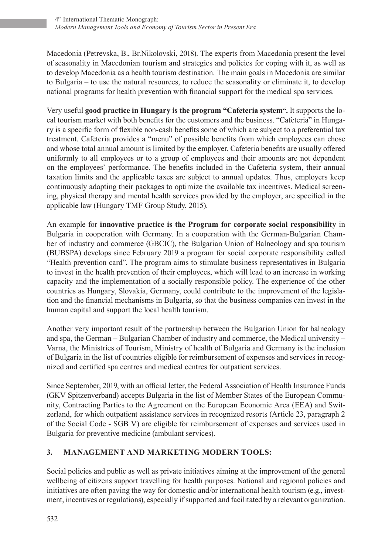Macedonia (Petrevska, B., Br.Nikolovski, 2018). The experts from Macedonia present the level of seasonality in Macedonian tourism and strategies and policies for coping with it, as well as to develop Macedonia as a health tourism destination. The main goals in Macedonia are similar to Bulgaria – to use the natural resources, to reduce the seasonality or eliminate it, to develop national programs for health prevention with financial support for the medical spa services.

Very useful **good practice in Hungary is the program "Cafeteria system".** It supports the local tourism market with both benefits for the customers and the business. "Cafeteria" in Hungary is a specific form of flexible non-cash benefits some of which are subject to a preferential tax treatment. Cafeteria provides a "menu" of possible benefits from which employees can chose and whose total annual amount is limited by the employer. Cafeteria benefits are usually offered uniformly to all employees or to a group of employees and their amounts are not dependent on the employees' performance. The benefits included in the Cafeteria system, their annual taxation limits and the applicable taxes are subject to annual updates. Thus, employers keep continuously adapting their packages to optimize the available tax incentives. Medical screening, physical therapy and mental health services provided by the employer, are specified in the applicable law (Hungary TMF Group Study, 2015).

An example for **innovative practice is the Program for corporate social responsibility** in Bulgaria in cooperation with Germany. In a cooperation with the German-Bulgarian Chamber of industry and commerce (GBCIC), the Bulgarian Union of Balneology and spa tourism (BUBSPA) develops since February 2019 a program for social corporate responsibility called "Health prevention card". The program aims to stimulate business representatives in Bulgaria to invest in the health prevention of their employees, which will lead to an increase in working capacity and the implementation of a socially responsible policy. The experience of the other countries as Hungary, Slovakia, Germany, could contribute to the improvement of the legislation and the financial mechanisms in Bulgaria, so that the business companies can invest in the human capital and support the local health tourism.

Another very important result of the partnership between the Bulgarian Union for balneology and spa, the German – Bulgarian Chamber of industry and commerce, the Medical university – Varna, the Ministries of Tourism, Ministry of health of Bulgaria and Germany is the inclusion of Bulgaria in the list of countries eligible for reimbursement of expenses and services in recognized and certified spa centres and medical centres for outpatient services.

Since September, 2019, with an official letter, the Federal Association of Health Insurance Funds (GKV Spitzenverband) accepts Bulgaria in the list of Member States of the European Community, Contracting Parties to the Agreement on the European Economic Area (EEA) and Switzerland, for which outpatient assistance services in recognized resorts (Article 23, paragraph 2 of the Social Code - SGB V) are eligible for reimbursement of expenses and services used in Bulgaria for preventive medicine (ambulant services).

# **3. MANAGEMENT AND MARKETING MODERN TOOLS:**

Social policies and public as well as private initiatives aiming at the improvement of the general wellbeing of citizens support travelling for health purposes. National and regional policies and initiatives are often paving the way for domestic and/or international health tourism (e.g., investment, incentives or regulations), especially if supported and facilitated by a relevant organization.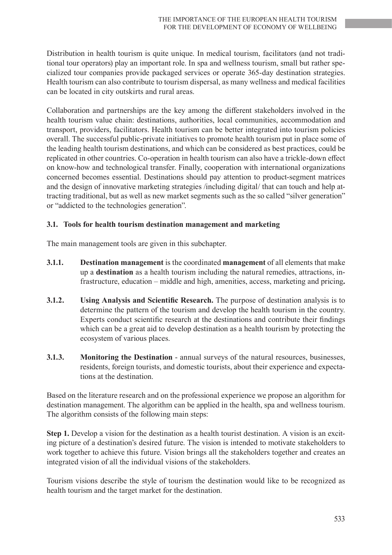Distribution in health tourism is quite unique. In medical tourism, facilitators (and not traditional tour operators) play an important role. In spa and wellness tourism, small but rather specialized tour companies provide packaged services or operate 365-day destination strategies. Health tourism can also contribute to tourism dispersal, as many wellness and medical facilities can be located in city outskirts and rural areas.

Collaboration and partnerships are the key among the different stakeholders involved in the health tourism value chain: destinations, authorities, local communities, accommodation and transport, providers, facilitators. Health tourism can be better integrated into tourism policies overall. The successful public-private initiatives to promote health tourism put in place some of the leading health tourism destinations, and which can be considered as best practices, could be replicated in other countries. Co-operation in health tourism can also have a trickle-down effect on know-how and technological transfer. Finally, cooperation with international organizations concerned becomes essential. Destinations should pay attention to product-segment matrices and the design of innovative marketing strategies /including digital/ that can touch and help attracting traditional, but as well as new market segments such as the so called "silver generation" or "addicted to the technologies generation".

#### **3.1. Tools for health tourism destination management and marketing**

The main management tools are given in this subchapter.

- **3.1.1. Destination management** is the coordinated **management** of all elements that make up a **destination** as a health tourism including the natural remedies, attractions, infrastructure, education – middle and high, amenities, access, marketing and pricing**.**
- **3.1.2. Using Analysis and Scientific Research.** The purpose of destination analysis is to determine the pattern of the tourism and develop the health tourism in the country. Experts conduct scientific research at the destinations and contribute their findings which can be a great aid to develop destination as a health tourism by protecting the ecosystem of various places.
- **3.1.3. Monitoring the Destination** annual surveys of the natural resources, businesses, residents, foreign tourists, and domestic tourists, about their experience and expectations at the destination.

Based on the literature research and on the professional experience we propose an algorithm for destination management. The algorithm can be applied in the health, spa and wellness tourism. The algorithm consists of the following main steps:

**Step 1.** Develop a vision for the destination as a health tourist destination. A vision is an exciting picture of a destination's desired future. The vision is intended to motivate stakeholders to work together to achieve this future. Vision brings all the stakeholders together and creates an integrated vision of all the individual visions of the stakeholders.

Tourism visions describe the style of tourism the destination would like to be recognized as health tourism and the target market for the destination.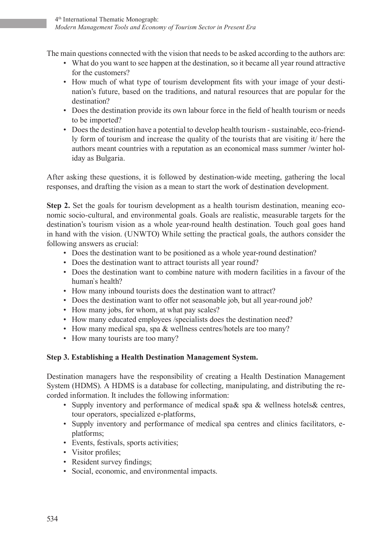The main questions connected with the vision that needs to be asked according to the authors are:

- What do you want to see happen at the destination, so it became all year round attractive for the customers?
- How much of what type of tourism development fits with your image of your destination's future, based on the traditions, and natural resources that are popular for the destination?
- Does the destination provide its own labour force in the field of health tourism or needs to be imported?
- Does the destination have a potential to develop health tourism sustainable, eco-friendly form of tourism and increase the quality of the tourists that are visiting it/ here the authors meant countries with a reputation as an economical mass summer /winter holiday as Bulgaria.

After asking these questions, it is followed by destination-wide meeting, gathering the local responses, and drafting the vision as a mean to start the work of destination development.

**Step 2.** Set the goals for tourism development as a health tourism destination, meaning economic socio-cultural, and environmental goals. Goals are realistic, measurable targets for the destination's tourism vision as a whole year-round health destination. Touch goal goes hand in hand with the vision. (UNWTO) While setting the practical goals, the authors consider the following answers as crucial:

- Does the destination want to be positioned as a whole year-round destination?
- Does the destination want to attract tourists all year round?
- Does the destination want to combine nature with modern facilities in a favour of the human`s health?
- How many inbound tourists does the destination want to attract?
- Does the destination want to offer not seasonable job, but all year-round job?
- How many jobs, for whom, at what pay scales?
- How many educated employees /specialists does the destination need?
- How many medical spa, spa & wellness centres/hotels are too many?
- How many tourists are too many?

# **Step 3. Establishing a Health Destination Management System.**

Destination managers have the responsibility of creating a Health Destination Management System (HDMS). A HDMS is a database for collecting, manipulating, and distributing the recorded information. It includes the following information:

- Supply inventory and performance of medical spa& spa & wellness hotels& centres, tour operators, specialized e-platforms,
- Supply inventory and performance of medical spa centres and clinics facilitators, eplatforms;
- Events, festivals, sports activities;
- Visitor profiles:
- Resident survey findings;
- Social, economic, and environmental impacts.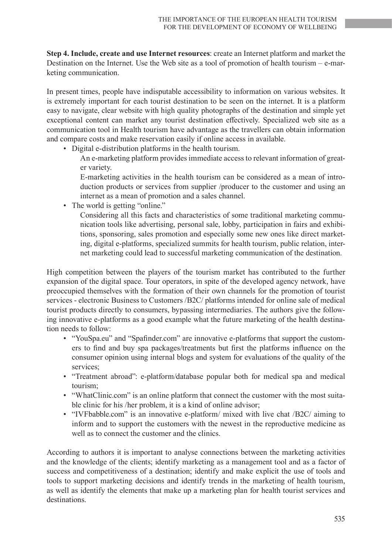**Step 4. Include, create and use Internet resources**: create an Internet platform and market the Destination on the Internet. Use the Web site as a tool of promotion of health tourism – e-marketing communication.

In present times, people have indisputable accessibility to information on various websites. It is extremely important for each tourist destination to be seen on the internet. It is a platform easy to navigate, clear website with high quality photographs of the destination and simple yet exceptional content can market any tourist destination effectively. Specialized web site as a communication tool in Health tourism have advantage as the travellers can obtain information and compare costs and make reservation easily if online access in available.

- Digital e-distribution platforms in the health tourism.
	- An e-marketing platform provides immediate access to relevant information of greater variety.
	- E-marketing activities in the health tourism can be considered as a mean of introduction products or services from supplier /producer to the customer and using an internet as a mean of promotion and a sales channel.
- The world is getting "online."

 Considering all this facts and characteristics of some traditional marketing communication tools like advertising, personal sale, lobby, participation in fairs and exhibitions, sponsoring, sales promotion and especially some new ones like direct marketing, digital e-platforms, specialized summits for health tourism, public relation, internet marketing could lead to successful marketing communication of the destination.

High competition between the players of the tourism market has contributed to the further expansion of the digital space. Tour operators, in spite of the developed agency network, have preoccupied themselves with the formation of their own channels for the promotion of tourist services - electronic Business to Customers /B2C/ platforms intended for online sale of medical tourist products directly to consumers, bypassing intermediaries. The authors give the following innovative e-platforms as a good example what the future marketing of the health destination needs to follow:

- "YouSpa.eu" and "Spafinder.com" are innovative e-platforms that support the customers to find and buy spa packages/treatments but first the platforms influence on the consumer opinion using internal blogs and system for evaluations of the quality of the services;
- "Treatment abroad": e-platform/database popular both for medical spa and medical tourism;
- "WhatClinic.com" is an online platform that connect the customer with the most suitable clinic for his /her problem, it is a kind of online advisor;
- "IVFbabble.com" is an innovative e-platform/ mixed with live chat /B2C/ aiming to inform and to support the customers with the newest in the reproductive medicine as well as to connect the customer and the clinics.

According to authors it is important to analyse connections between the marketing activities and the knowledge of the clients; identify marketing as a management tool and as a factor of success and competitiveness of a destination; identify and make explicit the use of tools and tools to support marketing decisions and identify trends in the marketing of health tourism, as well as identify the elements that make up a marketing plan for health tourist services and destinations.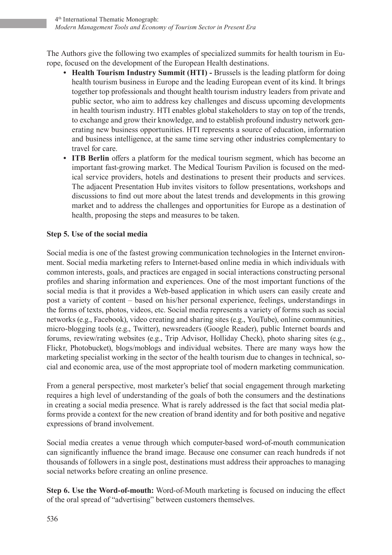The Authors give the following two examples of specialized summits for health tourism in Europe, focused on the development of the European Health destinations.

- **Health Tourism Industry Summit (HTI) Brussels is the leading platform for doing** health tourism business in Europe and the leading European event of its kind. It brings together top professionals and thought health tourism industry leaders from private and public sector, who aim to address key challenges and discuss upcoming developments in health tourism industry. HTI enables global stakeholders to stay on top of the trends, to exchange and grow their knowledge, and to establish profound industry network generating new business opportunities. HTI represents a source of education, information and business intelligence, at the same time serving other industries complementary to travel for care.
- **ITB Berlin** offers a platform for the medical tourism segment, which has become an important fast-growing market. The Medical Tourism Pavilion is focused on the medical service providers, hotels and destinations to present their products and services. The adjacent Presentation Hub invites visitors to follow presentations, workshops and discussions to find out more about the latest trends and developments in this growing market and to address the challenges and opportunities for Europe as a destination of health, proposing the steps and measures to be taken.

# **Step 5. Use of the social media**

Social media is one of the fastest growing communication technologies in the Internet environment. Social media marketing refers to Internet-based online media in which individuals with common interests, goals, and practices are engaged in social interactions constructing personal profiles and sharing information and experiences. One of the most important functions of the social media is that it provides a Web-based application in which users can easily create and post a variety of content – based on his/her personal experience, feelings, understandings in the forms of texts, photos, videos, etc. Social media represents a variety of forms such as social networks (e.g., Facebook), video creating and sharing sites (e.g., YouTube), online communities, micro-blogging tools (e.g., Twitter), newsreaders (Google Reader), public Internet boards and forums, review/rating websites (e.g., Trip Advisor, Holliday Check), photo sharing sites (e.g., Flickr, Photobucket), blogs/moblogs and individual websites. There are many ways how the marketing specialist working in the sector of the health tourism due to changes in technical, social and economic area, use of the most appropriate tool of modern marketing communication.

From a general perspective, most marketer's belief that social engagement through marketing requires a high level of understanding of the goals of both the consumers and the destinations in creating a social media presence. What is rarely addressed is the fact that social media platforms provide a context for the new creation of brand identity and for both positive and negative expressions of brand involvement.

Social media creates a venue through which computer-based word-of-mouth communication can significantly influence the brand image. Because one consumer can reach hundreds if not thousands of followers in a single post, destinations must address their approaches to managing social networks before creating an online presence.

**Step 6. Use the Word-of-mouth:** Word-of-Mouth marketing is focused on inducing the effect of the oral spread of "advertising" between customers themselves.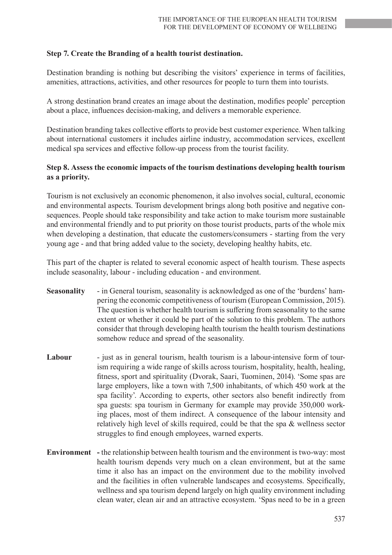#### **Step 7. Create the Branding of a health tourist destination.**

Destination branding is nothing but describing the visitors' experience in terms of facilities, amenities, attractions, activities, and other resources for people to turn them into tourists.

A strong destination brand creates an image about the destination, modifies people' perception about a place, influences decision-making, and delivers a memorable experience.

Destination branding takes collective efforts to provide best customer experience. When talking about international customers it includes airline industry, accommodation services, excellent medical spa services and effective follow-up process from the tourist facility.

#### **Step 8. Assess the economic impacts of the tourism destinations developing health tourism as a priority.**

Tourism is not exclusively an economic phenomenon, it also involves social, cultural, economic and environmental aspects. Tourism development brings along both positive and negative consequences. People should take responsibility and take action to make tourism more sustainable and environmental friendly and to put priority on those tourist products, parts of the whole mix when developing a destination, that educate the customers/consumers - starting from the very young age - and that bring added value to the society, developing healthy habits, etc.

This part of the chapter is related to several economic aspect of health tourism. These aspects include seasonality, labour - including education - and environment.

- **Seasonality** in General tourism, seasonality is acknowledged as one of the 'burdens' hampering the economic competitiveness of tourism (European Commission, 2015). The question is whether health tourism is suffering from seasonality to the same extent or whether it could be part of the solution to this problem. The authors consider that through developing health tourism the health tourism destinations somehow reduce and spread of the seasonality.
- Labour just as in general tourism, health tourism is a labour-intensive form of tourism requiring a wide range of skills across tourism, hospitality, health, healing, fitness, sport and spirituality (Dvorak, Saari, Tuominen, 2014). 'Some spas are large employers, like a town with 7,500 inhabitants, of which 450 work at the spa facility'. According to experts, other sectors also benefit indirectly from spa guests: spa tourism in Germany for example may provide 350,000 working places, most of them indirect. A consequence of the labour intensity and relatively high level of skills required, could be that the spa & wellness sector struggles to find enough employees, warned experts.
- **Environment** the relationship between health tourism and the environment is two-way: most health tourism depends very much on a clean environment, but at the same time it also has an impact on the environment due to the mobility involved and the facilities in often vulnerable landscapes and ecosystems. Specifically, wellness and spa tourism depend largely on high quality environment including clean water, clean air and an attractive ecosystem. 'Spas need to be in a green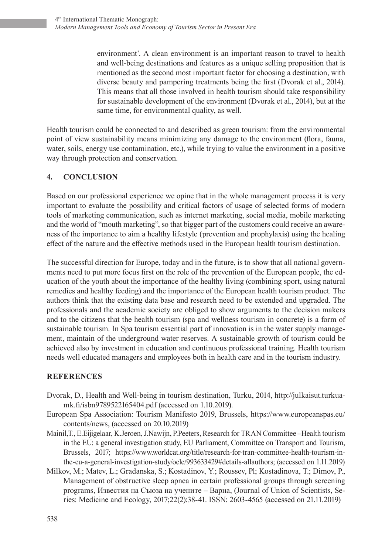environment'. A clean environment is an important reason to travel to health and well-being destinations and features as a unique selling proposition that is mentioned as the second most important factor for choosing a destination, with diverse beauty and pampering treatments being the first (Dvorak et al., 2014). This means that all those involved in health tourism should take responsibility for sustainable development of the environment (Dvorak et al., 2014), but at the same time, for environmental quality, as well.

Health tourism could be connected to and described as green tourism: from the environmental point of view sustainability means minimizing any damage to the environment (flora, fauna, water, soils, energy use contamination, etc.), while trying to value the environment in a positive way through protection and conservation.

# **4. CONCLUSION**

Based on our professional experience we opine that in the whole management process it is very important to evaluate the possibility and critical factors of usage of selected forms of modern tools of marketing communication, such as internet marketing, social media, mobile marketing and the world of "mouth marketing", so that bigger part of the customers could receive an awareness of the importance to aim a healthy lifestyle (prevention and prophylaxis) using the healing effect of the nature and the effective methods used in the European health tourism destination.

The successful direction for Europe, today and in the future, is to show that all national governments need to put more focus first on the role of the prevention of the European people, the education of the youth about the importance of the healthy living (combining sport, using natural remedies and healthy feeding) and the importance of the European health tourism product. The authors think that the existing data base and research need to be extended and upgraded. The professionals and the academic society are obliged to show arguments to the decision makers and to the citizens that the health tourism (spa and wellness tourism in concrete) is a form of sustainable tourism. In Spa tourism essential part of innovation is in the water supply management, maintain of the underground water reserves. A sustainable growth of tourism could be achieved also by investment in education and continuous professional training. Health tourism needs well educated managers and employees both in health care and in the tourism industry.

#### **REFERENCES**

- Dvorak, D., Health and Well-being in tourism destination, Turku, 2014, http://julkaisut.turkuamk.fi/isbn9789522165404.pdf (accessed on 1.10.2019).
- European Spa Association: Tourism Manifesto 2019, Brussels, https://www.europeanspas.eu/ contents/news, (accessed on 20.10.2019)
- Mainil,T., E.Eijigelaar, K.Jeroen, J.Nawijn, P.Peeters, Research for TRAN Committee –Health tourism in the EU: a general investigation study, EU Parliament, Committee on Transport and Tourism, Brussels, 2017; https://www.worldcat.org/title/research-for-tran-committee-health-tourism-inthe-eu-a-general-investigation-study/oclc/993633429#details-allauthors; (accessed on 1.11.2019)
- Milkov, M.; Matev, L.; Gradanska, S.; Kostadinov, Y.; Roussev, Pl; Kostadinova, T.; Dimov, P., Management of obstructive sleep apnea in certain professional groups through screening programs, Известия на Съюза на учените – Варна, (Journal of Union of Scientists, Series: Medicine and Ecology, 2017;22(2):38-41. ISSN: 2603-4565 (accessed on 21.11.2019)